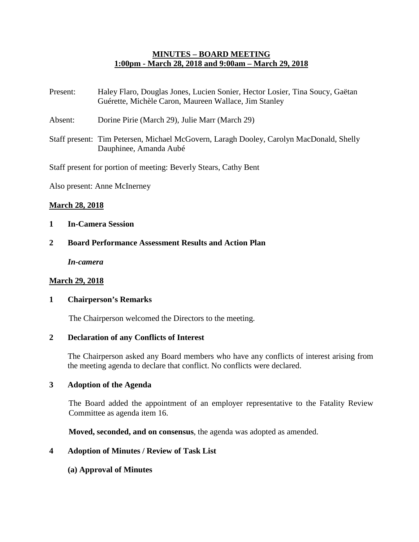## **MINUTES – BOARD MEETING 1:00pm - March 28, 2018 and 9:00am – March 29, 2018**

- Present: Haley Flaro, Douglas Jones, Lucien Sonier, Hector Losier, Tina Soucy, Gaëtan Guérette, Michèle Caron, Maureen Wallace, Jim Stanley
- Absent: Dorine Pirie (March 29), Julie Marr (March 29)
- Staff present: Tim Petersen, Michael McGovern, Laragh Dooley, Carolyn MacDonald, Shelly Dauphinee, Amanda Aubé

Staff present for portion of meeting: Beverly Stears, Cathy Bent

Also present: Anne McInerney

#### **March 28, 2018**

- **1 In-Camera Session**
- **2 Board Performance Assessment Results and Action Plan**

*In-camera*

#### **March 29, 2018**

#### **1 Chairperson's Remarks**

The Chairperson welcomed the Directors to the meeting.

#### **2 Declaration of any Conflicts of Interest**

The Chairperson asked any Board members who have any conflicts of interest arising from the meeting agenda to declare that conflict. No conflicts were declared.

#### **3 Adoption of the Agenda**

The Board added the appointment of an employer representative to the Fatality Review Committee as agenda item 16.

**Moved, seconded, and on consensus**, the agenda was adopted as amended.

#### **4 Adoption of Minutes / Review of Task List**

**(a) Approval of Minutes**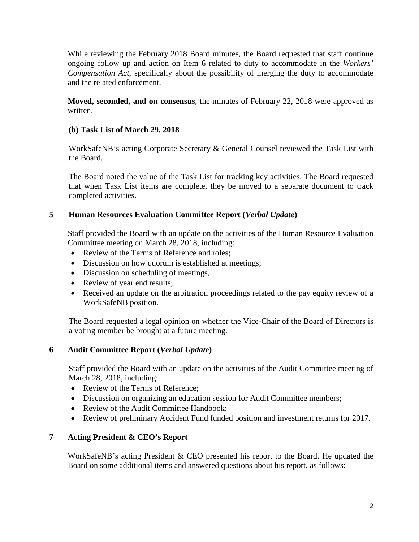While reviewing the February 2018 Board minutes, the Board requested that staff continue ongoing follow up and action on Item 6 related to duty to accommodate in the *Workers' Compensation Act*, specifically about the possibility of merging the duty to accommodate and the related enforcement.

**Moved, seconded, and on consensus**, the minutes of February 22, 2018 were approved as written.

# **(b) Task List of March 29, 2018**

WorkSafeNB's acting Corporate Secretary & General Counsel reviewed the Task List with the Board.

The Board noted the value of the Task List for tracking key activities. The Board requested that when Task List items are complete, they be moved to a separate document to track completed activities.

# **5 Human Resources Evaluation Committee Report (***Verbal Update***)**

Staff provided the Board with an update on the activities of the Human Resource Evaluation Committee meeting on March 28, 2018, including:

- Review of the Terms of Reference and roles;
- Discussion on how quorum is established at meetings;
- Discussion on scheduling of meetings,
- Review of year end results;
- Received an update on the arbitration proceedings related to the pay equity review of a WorkSafeNB position.

The Board requested a legal opinion on whether the Vice-Chair of the Board of Directors is a voting member be brought at a future meeting.

# **6 Audit Committee Report (***Verbal Update***)**

Staff provided the Board with an update on the activities of the Audit Committee meeting of March 28, 2018, including:

- Review of the Terms of Reference;
- Discussion on organizing an education session for Audit Committee members;
- Review of the Audit Committee Handbook;
- Review of preliminary Accident Fund funded position and investment returns for 2017.

# **7 Acting President & CEO's Report**

WorkSafeNB's acting President & CEO presented his report to the Board. He updated the Board on some additional items and answered questions about his report, as follows: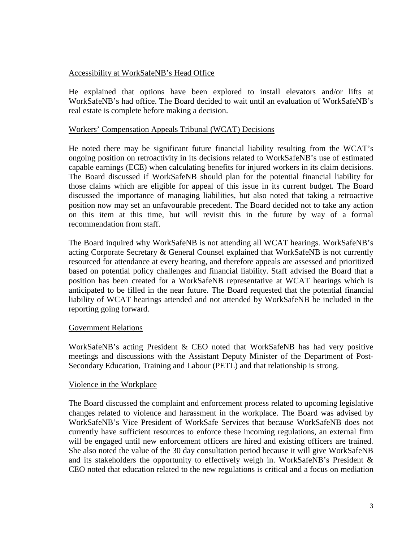# Accessibility at WorkSafeNB's Head Office

He explained that options have been explored to install elevators and/or lifts at WorkSafeNB's had office. The Board decided to wait until an evaluation of WorkSafeNB's real estate is complete before making a decision.

## Workers' Compensation Appeals Tribunal (WCAT) Decisions

He noted there may be significant future financial liability resulting from the WCAT's ongoing position on retroactivity in its decisions related to WorkSafeNB's use of estimated capable earnings (ECE) when calculating benefits for injured workers in its claim decisions. The Board discussed if WorkSafeNB should plan for the potential financial liability for those claims which are eligible for appeal of this issue in its current budget. The Board discussed the importance of managing liabilities, but also noted that taking a retroactive position now may set an unfavourable precedent. The Board decided not to take any action on this item at this time, but will revisit this in the future by way of a formal recommendation from staff.

The Board inquired why WorkSafeNB is not attending all WCAT hearings. WorkSafeNB's acting Corporate Secretary & General Counsel explained that WorkSafeNB is not currently resourced for attendance at every hearing, and therefore appeals are assessed and prioritized based on potential policy challenges and financial liability. Staff advised the Board that a position has been created for a WorkSafeNB representative at WCAT hearings which is anticipated to be filled in the near future. The Board requested that the potential financial liability of WCAT hearings attended and not attended by WorkSafeNB be included in the reporting going forward.

#### Government Relations

WorkSafeNB's acting President & CEO noted that WorkSafeNB has had very positive meetings and discussions with the Assistant Deputy Minister of the Department of Post-Secondary Education, Training and Labour (PETL) and that relationship is strong.

#### Violence in the Workplace

The Board discussed the complaint and enforcement process related to upcoming legislative changes related to violence and harassment in the workplace. The Board was advised by WorkSafeNB's Vice President of WorkSafe Services that because WorkSafeNB does not currently have sufficient resources to enforce these incoming regulations, an external firm will be engaged until new enforcement officers are hired and existing officers are trained. She also noted the value of the 30 day consultation period because it will give WorkSafeNB and its stakeholders the opportunity to effectively weigh in. WorkSafeNB's President & CEO noted that education related to the new regulations is critical and a focus on mediation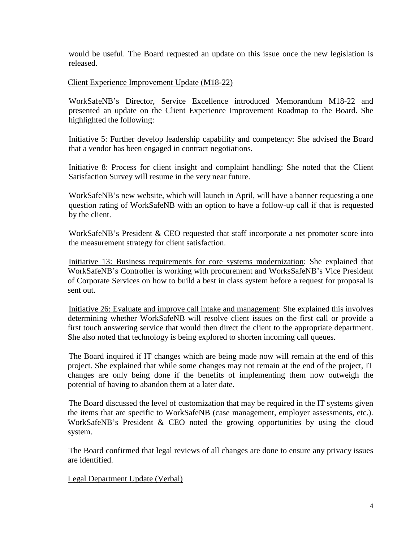would be useful. The Board requested an update on this issue once the new legislation is released.

## Client Experience Improvement Update (M18-22)

WorkSafeNB's Director, Service Excellence introduced Memorandum M18-22 and presented an update on the Client Experience Improvement Roadmap to the Board. She highlighted the following:

Initiative 5: Further develop leadership capability and competency: She advised the Board that a vendor has been engaged in contract negotiations.

Initiative 8: Process for client insight and complaint handling: She noted that the Client Satisfaction Survey will resume in the very near future.

WorkSafeNB's new website, which will launch in April, will have a banner requesting a one question rating of WorkSafeNB with an option to have a follow-up call if that is requested by the client.

WorkSafeNB's President & CEO requested that staff incorporate a net promoter score into the measurement strategy for client satisfaction.

Initiative 13: Business requirements for core systems modernization: She explained that WorkSafeNB's Controller is working with procurement and WorksSafeNB's Vice President of Corporate Services on how to build a best in class system before a request for proposal is sent out.

Initiative 26: Evaluate and improve call intake and management: She explained this involves determining whether WorkSafeNB will resolve client issues on the first call or provide a first touch answering service that would then direct the client to the appropriate department. She also noted that technology is being explored to shorten incoming call queues.

The Board inquired if IT changes which are being made now will remain at the end of this project. She explained that while some changes may not remain at the end of the project, IT changes are only being done if the benefits of implementing them now outweigh the potential of having to abandon them at a later date.

The Board discussed the level of customization that may be required in the IT systems given the items that are specific to WorkSafeNB (case management, employer assessments, etc.). WorkSafeNB's President & CEO noted the growing opportunities by using the cloud system.

The Board confirmed that legal reviews of all changes are done to ensure any privacy issues are identified.

Legal Department Update (Verbal)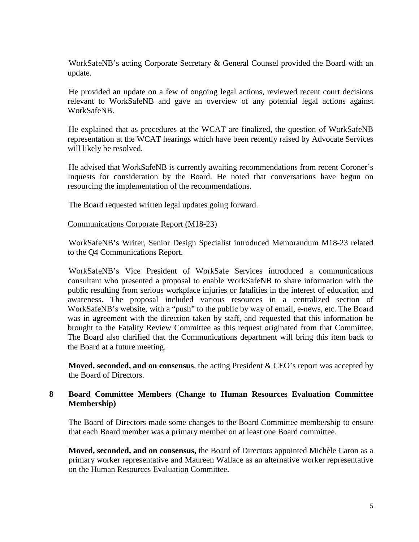WorkSafeNB's acting Corporate Secretary & General Counsel provided the Board with an update.

He provided an update on a few of ongoing legal actions, reviewed recent court decisions relevant to WorkSafeNB and gave an overview of any potential legal actions against WorkSafeNB.

He explained that as procedures at the WCAT are finalized, the question of WorkSafeNB representation at the WCAT hearings which have been recently raised by Advocate Services will likely be resolved.

He advised that WorkSafeNB is currently awaiting recommendations from recent Coroner's Inquests for consideration by the Board. He noted that conversations have begun on resourcing the implementation of the recommendations.

The Board requested written legal updates going forward.

#### Communications Corporate Report (M18-23)

WorkSafeNB's Writer, Senior Design Specialist introduced Memorandum M18-23 related to the Q4 Communications Report.

WorkSafeNB's Vice President of WorkSafe Services introduced a communications consultant who presented a proposal to enable WorkSafeNB to share information with the public resulting from serious workplace injuries or fatalities in the interest of education and awareness. The proposal included various resources in a centralized section of WorkSafeNB's website, with a "push" to the public by way of email, e-news, etc. The Board was in agreement with the direction taken by staff, and requested that this information be brought to the Fatality Review Committee as this request originated from that Committee. The Board also clarified that the Communications department will bring this item back to the Board at a future meeting.

**Moved, seconded, and on consensus**, the acting President & CEO's report was accepted by the Board of Directors.

## **8 Board Committee Members (Change to Human Resources Evaluation Committee Membership)**

The Board of Directors made some changes to the Board Committee membership to ensure that each Board member was a primary member on at least one Board committee.

**Moved, seconded, and on consensus,** the Board of Directors appointed Michèle Caron as a primary worker representative and Maureen Wallace as an alternative worker representative on the Human Resources Evaluation Committee.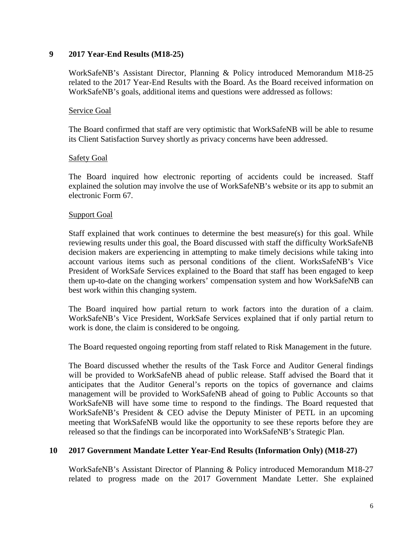#### **9 2017 Year-End Results (M18-25)**

WorkSafeNB's Assistant Director, Planning & Policy introduced Memorandum M18-25 related to the 2017 Year-End Results with the Board. As the Board received information on WorkSafeNB's goals, additional items and questions were addressed as follows:

#### Service Goal

The Board confirmed that staff are very optimistic that WorkSafeNB will be able to resume its Client Satisfaction Survey shortly as privacy concerns have been addressed.

#### **Safety Goal**

The Board inquired how electronic reporting of accidents could be increased. Staff explained the solution may involve the use of WorkSafeNB's website or its app to submit an electronic Form 67.

#### Support Goal

Staff explained that work continues to determine the best measure(s) for this goal. While reviewing results under this goal, the Board discussed with staff the difficulty WorkSafeNB decision makers are experiencing in attempting to make timely decisions while taking into account various items such as personal conditions of the client. WorksSafeNB's Vice President of WorkSafe Services explained to the Board that staff has been engaged to keep them up-to-date on the changing workers' compensation system and how WorkSafeNB can best work within this changing system.

The Board inquired how partial return to work factors into the duration of a claim. WorkSafeNB's Vice President, WorkSafe Services explained that if only partial return to work is done, the claim is considered to be ongoing.

The Board requested ongoing reporting from staff related to Risk Management in the future.

The Board discussed whether the results of the Task Force and Auditor General findings will be provided to WorkSafeNB ahead of public release. Staff advised the Board that it anticipates that the Auditor General's reports on the topics of governance and claims management will be provided to WorkSafeNB ahead of going to Public Accounts so that WorkSafeNB will have some time to respond to the findings. The Board requested that WorkSafeNB's President & CEO advise the Deputy Minister of PETL in an upcoming meeting that WorkSafeNB would like the opportunity to see these reports before they are released so that the findings can be incorporated into WorkSafeNB's Strategic Plan.

#### **10 2017 Government Mandate Letter Year-End Results (Information Only) (M18-27)**

WorkSafeNB's Assistant Director of Planning & Policy introduced Memorandum M18-27 related to progress made on the 2017 Government Mandate Letter. She explained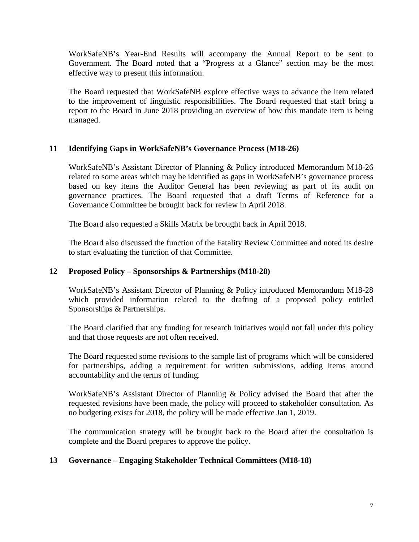WorkSafeNB's Year-End Results will accompany the Annual Report to be sent to Government. The Board noted that a "Progress at a Glance" section may be the most effective way to present this information.

The Board requested that WorkSafeNB explore effective ways to advance the item related to the improvement of linguistic responsibilities. The Board requested that staff bring a report to the Board in June 2018 providing an overview of how this mandate item is being managed.

# **11 Identifying Gaps in WorkSafeNB's Governance Process (M18-26)**

WorkSafeNB's Assistant Director of Planning & Policy introduced Memorandum M18-26 related to some areas which may be identified as gaps in WorkSafeNB's governance process based on key items the Auditor General has been reviewing as part of its audit on governance practices. The Board requested that a draft Terms of Reference for a Governance Committee be brought back for review in April 2018.

The Board also requested a Skills Matrix be brought back in April 2018.

The Board also discussed the function of the Fatality Review Committee and noted its desire to start evaluating the function of that Committee.

#### **12 Proposed Policy – Sponsorships & Partnerships (M18-28)**

WorkSafeNB's Assistant Director of Planning & Policy introduced Memorandum M18-28 which provided information related to the drafting of a proposed policy entitled Sponsorships & Partnerships.

The Board clarified that any funding for research initiatives would not fall under this policy and that those requests are not often received.

The Board requested some revisions to the sample list of programs which will be considered for partnerships, adding a requirement for written submissions, adding items around accountability and the terms of funding.

WorkSafeNB's Assistant Director of Planning & Policy advised the Board that after the requested revisions have been made, the policy will proceed to stakeholder consultation. As no budgeting exists for 2018, the policy will be made effective Jan 1, 2019.

The communication strategy will be brought back to the Board after the consultation is complete and the Board prepares to approve the policy.

#### **13 Governance – Engaging Stakeholder Technical Committees (M18-18)**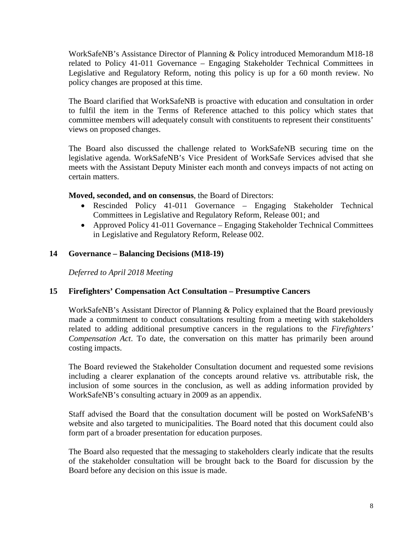WorkSafeNB's Assistance Director of Planning & Policy introduced Memorandum M18-18 related to Policy 41-011 Governance – Engaging Stakeholder Technical Committees in Legislative and Regulatory Reform, noting this policy is up for a 60 month review. No policy changes are proposed at this time.

The Board clarified that WorkSafeNB is proactive with education and consultation in order to fulfil the item in the Terms of Reference attached to this policy which states that committee members will adequately consult with constituents to represent their constituents' views on proposed changes.

The Board also discussed the challenge related to WorkSafeNB securing time on the legislative agenda. WorkSafeNB's Vice President of WorkSafe Services advised that she meets with the Assistant Deputy Minister each month and conveys impacts of not acting on certain matters.

**Moved, seconded, and on consensus**, the Board of Directors:

- Rescinded Policy 41-011 Governance Engaging Stakeholder Technical Committees in Legislative and Regulatory Reform, Release 001; and
- Approved Policy 41-011 Governance Engaging Stakeholder Technical Committees in Legislative and Regulatory Reform, Release 002.

# **14 Governance – Balancing Decisions (M18-19)**

*Deferred to April 2018 Meeting*

# **15 Firefighters' Compensation Act Consultation – Presumptive Cancers**

WorkSafeNB's Assistant Director of Planning & Policy explained that the Board previously made a commitment to conduct consultations resulting from a meeting with stakeholders related to adding additional presumptive cancers in the regulations to the *Firefighters' Compensation Act*. To date, the conversation on this matter has primarily been around costing impacts.

The Board reviewed the Stakeholder Consultation document and requested some revisions including a clearer explanation of the concepts around relative vs. attributable risk, the inclusion of some sources in the conclusion, as well as adding information provided by WorkSafeNB's consulting actuary in 2009 as an appendix.

Staff advised the Board that the consultation document will be posted on WorkSafeNB's website and also targeted to municipalities. The Board noted that this document could also form part of a broader presentation for education purposes.

The Board also requested that the messaging to stakeholders clearly indicate that the results of the stakeholder consultation will be brought back to the Board for discussion by the Board before any decision on this issue is made.